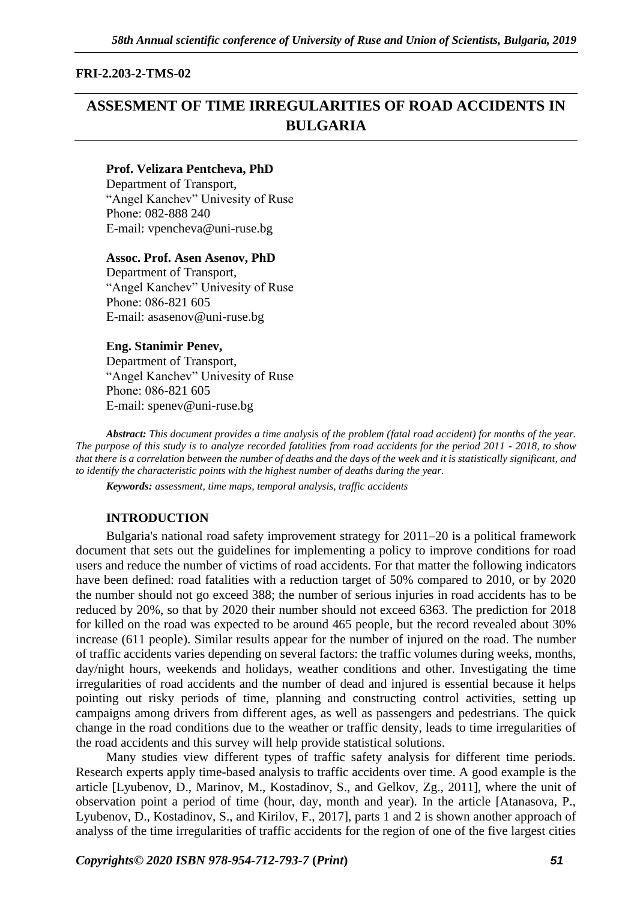# **FRI-2.203-2-TMS-02**

# **ASSESMENT OF TIME IRREGULARITIES OF ROAD ACCIDENTS IN BULGARIA**

#### **Prof. Velizara Pentcheva, PhD**

Department of Transport, "Angel Kanchev" Univesity of Ruse Рhone: 082-888 240 Е-mail: [vpencheva@uni-ruse.bg](mailto:vpencheva@uni-ruse.bg)

#### **Assoc. Prof. Asen Asenov, PhD**

Department of Transport, "Angel Kanchev" Univesity of Ruse Phone: 086-821 605 Е-mail: [asasenov@uni-ruse.bg](mailto:asasenov@uni-ruse.bg)

#### **Eng. Stanimir Penev,**

Department of Transport, "Angel Kanchev" Univesity of Ruse Рhone: 086-821 605 Е-mail: [spenev@uni-ruse.bg](mailto:spenev@uni-ruse.bg)

*Abstract: This document provides a time analysis of the problem (fatal road accident) for months of the year. The purpose of this study is to analyze recorded fatalities from road accidents for the period 2011 - 2018, to show that there is a correlation between the number of deaths and the days of the week and it is statistically significant, and to identify the characteristic points with the highest number of deaths during the year.*

*Keywords: assessment, time maps, temporal analysis, traffic accidents*

# **INTRODUCTION**

Bulgaria's national road safety improvement strategy for 2011–20 is a political framework document that sets out the guidelines for implementing a policy to improve conditions for road users and reduce the number of victims of road accidents. For that matter the following indicators have been defined: road fatalities with a reduction target of 50% compared to 2010, or by 2020 the number should not go exceed 388; the number of serious injuries in road accidents has to be reduced by 20%, so that by 2020 their number should not exceed 6363. The prediction for 2018 for killed on the road was expected to be around 465 people, but the record revealed about 30% increase (611 people). Similar results appear for the number of injured on the road. The number of traffic accidents varies depending on several factors: the traffic volumes during weeks, months, day/night hours, weekends and holidays, weather conditions and other. Investigating the time irregularities of road accidents and the number of dead and injured is essential because it helps pointing out risky periods of time, planning and constructing control activities, setting up campaigns among drivers from different ages, as well as passengers and pedestrians. The quick change in the road conditions due to the weather or traffic density, leads to time irregularities of the road accidents and this survey will help provide statistical solutions.

Many studies view different types of traffic safety analysis for different time periods. Research experts apply time-based analysis to traffic accidents over time. A good example is the article [Lyubenov, D., Marinov, M., Kostadinov, S., and Gelkov, Zg., 2011], where the unit of observation point a period of time (hour, day, month and year). In the article [Atanasova, P., Lyubenov, D., Kostadinov, S., and Kirilov, F., 2017], parts 1 and 2 is shown another approach of analyss of the time irregularities of traffic accidents for the region of one of the five largest cities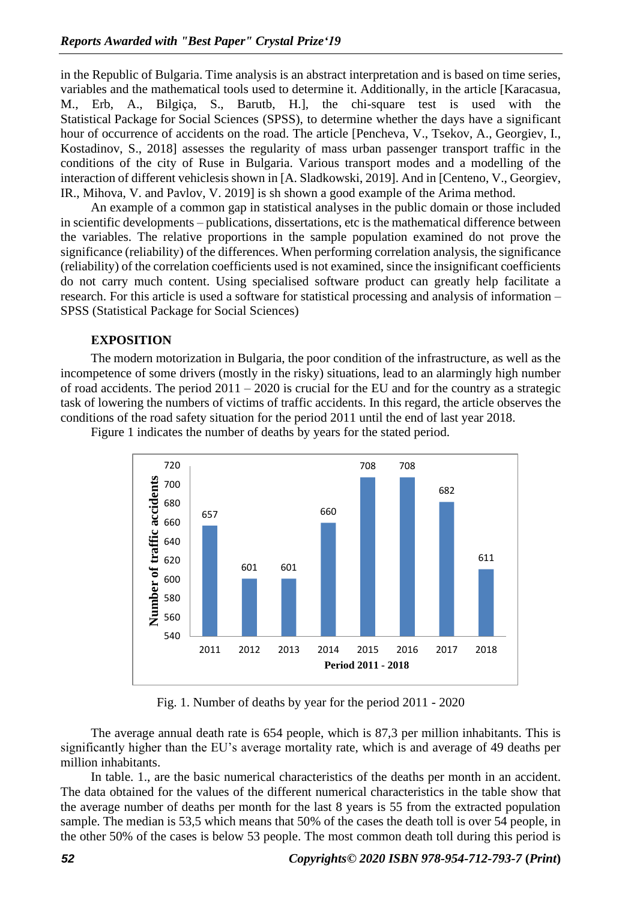in the Republic of Bulgaria. Time analysis is an abstract interpretation and is based on time series, variables and the mathematical tools used to determine it. Additionally, in the article [Karacasua, M., Erb, A., Bilgiça, S., Barutb, H.], the chi-square test is used with the Statistical Package for Social Sciences (SPSS), to determine whether the days have a significant hour of occurrence of accidents on the road. The article [Pencheva, V., Tsekov, A., Georgiev, I., Kostadinov, S., 2018] assesses the regularity of mass urban passenger transport traffic in the conditions of the city of Ruse in Bulgaria. Various transport modes and a modelling of the interaction of different vehiclesis shown in [A. Sladkowski, 2019]. And in [Centeno, V., Georgiev, IR., Mihova, V. and Pavlov, V. 2019] is sh shown a good example of the Arima method.

An example of a common gap in statistical analyses in the public domain or those included in scientific developments – publications, dissertations, etc is the mathematical difference between the variables. The relative proportions in the sample population examined do not prove the significance (reliability) of the differences. When performing correlation analysis, the significance (reliability) of the correlation coefficients used is not examined, since the insignificant coefficients do not carry much content. Using specialised software product can greatly help facilitate a research. For this article is used a software for statistical processing and analysis of information – SPSS (Statistical Package for Social Sciences)

#### **ЕXPOSITION**

The modern motorization in Bulgaria, the poor condition of the infrastructure, as well as the incompetence of some drivers (mostly in the risky) situations, lead to an alarmingly high number of road accidents. The period  $2011 - 2020$  is crucial for the EU and for the country as a strategic task of lowering the numbers of victims of traffic accidents. In this regard, the article observes the conditions of the road safety situation for the period 2011 until the end of last year 2018.



Figure 1 indicates the number of deaths by years for the stated period.

Fig. 1. Number of deaths by year for the period 2011 - 2020

The average annual death rate is 654 people, which is 87,3 per million inhabitants. This is significantly higher than the EU's average mortality rate, which is and average of 49 deaths per million inhabitants.

In table. 1., are the basic numerical characteristics of the deaths per month in an accident. The data obtained for the values of the different numerical characteristics in the table show that the average number of deaths per month for the last 8 years is 55 from the extracted population sample. The median is 53,5 which means that 50% of the cases the death toll is over 54 people, in the other 50% of the cases is below 53 people. The most common death toll during this period is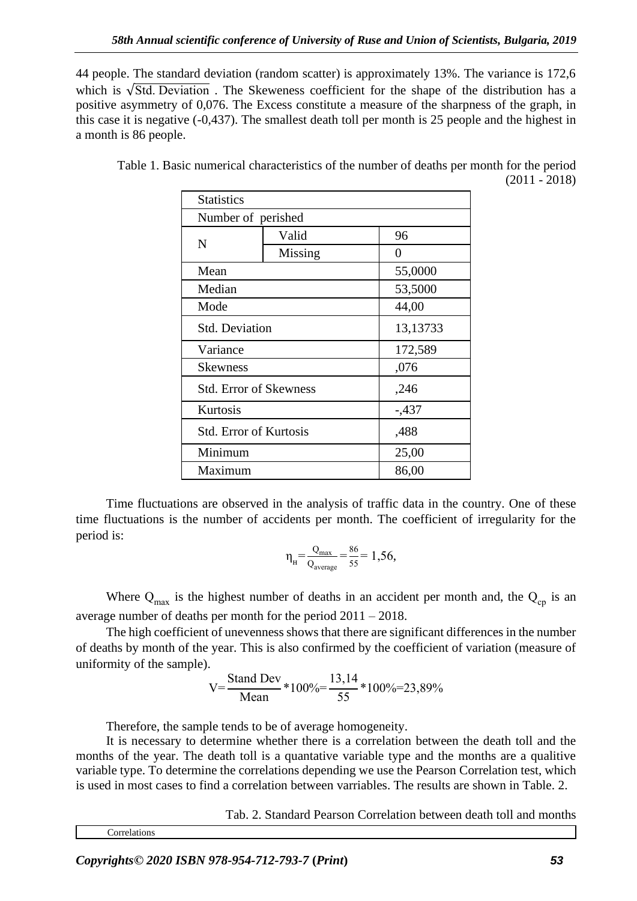44 people. The standard deviation (random scatter) is approximately 13%. The variance is 172,6 which is  $\sqrt{Std}$ . Deviation . The Skeweness coefficient for the shape of the distribution has a positive asymmetry of 0,076. The Excess constitute a measure of the sharpness of the graph, in this case it is negative (-0,437). The smallest death toll per month is 25 people and the highest in a month is 86 people.

| <b>Statistics</b>             |         |          |  |  |
|-------------------------------|---------|----------|--|--|
| Number of perished            |         |          |  |  |
|                               | Valid   | 96       |  |  |
| N                             | Missing | 0        |  |  |
| Mean                          |         | 55,0000  |  |  |
| Median                        |         | 53,5000  |  |  |
| Mode                          |         | 44,00    |  |  |
| <b>Std. Deviation</b>         |         | 13,13733 |  |  |
| Variance                      |         | 172,589  |  |  |
| <b>Skewness</b>               |         | ,076     |  |  |
| <b>Std. Error of Skewness</b> |         | ,246     |  |  |
| Kurtosis                      |         | $-0.437$ |  |  |
| Std. Error of Kurtosis        |         | ,488     |  |  |
| Minimum                       |         | 25,00    |  |  |
| Maximum                       |         | 86,00    |  |  |

Table 1. Basic numerical characteristics of the number of deaths per month for the period (2011 - 2018)

Time fluctuations are observed in the analysis of traffic data in the country. One of these time fluctuations is the number of accidents per month. The coefficient of irregularity for the period is:

$$
\eta_{\rm H} = \frac{Q_{\rm max}}{Q_{\rm average}} = \frac{86}{55} = 1,56,
$$

Where  $Q_{\text{max}}$  is the highest number of deaths in an accident per month and, the  $Q_{\text{cp}}$  is an average number of deaths per month for the period 2011 – 2018.

The high coefficient of unevenness shows that there are significant differences in the number of deaths by month of the year. This is also confirmed by the coefficient of variation (measure of uniformity of the sample).

$$
V = \frac{Standard Dev}{Mean} * 100\% = \frac{13,14}{55} * 100\% = 23,89\%
$$

Therefore, the sample tends to be of average homogeneity.

It is necessary to determine whether there is a correlation between the death toll and the months of the year. The death toll is a quantative variable type and the months are a qualitive variable type. To determine the correlations depending we use the Pearson Correlation test, which is used in most cases to find a correlation between varriables. The results are shown in Table. 2.

Tab. 2. Standard Pearson Correlation between death toll and months

Correlations

*Copyrights© 2020 ISBN 978-954-712-793-7* **(***Print***)** *53*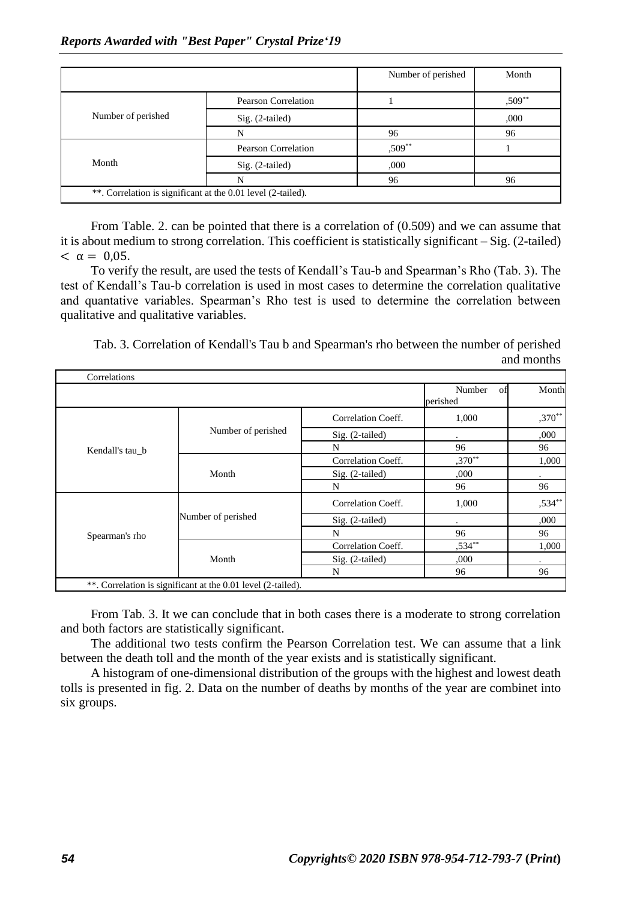|                    |                     | Number of perished | Month  |
|--------------------|---------------------|--------------------|--------|
| Number of perished | Pearson Correlation |                    | ,509** |
|                    | Sig. (2-tailed)     |                    | ,000   |
|                    | N                   | 96                 | 96     |
| Month              | Pearson Correlation | ,509**             |        |
|                    | Sig. (2-tailed)     | ,000               |        |
|                    | N                   | 96                 | 96     |

From Table. 2. can be pointed that there is a correlation of (0.509) and we can assume that it is about medium to strong correlation. This coefficient is statistically significant – Sig. (2-tailed)  $< \alpha = 0.05$ .

To verify the result, are used the tests of Kendall's Tau-b and Spearman's Rho (Tab. 3). The test of Kendall's Tau-b correlation is used in most cases to determine the correlation qualitative and quantative variables. Spearman's Rho test is used to determine the correlation between qualitative and qualitative variables.

Tab. 3. Correlation of Kendall's Tau b and Spearman's rho between the number of perished and months

| Correlations    |                                                              |                    |                          |           |
|-----------------|--------------------------------------------------------------|--------------------|--------------------------|-----------|
|                 |                                                              |                    | Number<br>of<br>perished | Month     |
|                 |                                                              | Correlation Coeff. | 1,000                    | $,370**$  |
|                 | Number of perished                                           | Sig. (2-tailed)    |                          | ,000      |
| Kendall's tau b |                                                              | N                  | 96                       | 96        |
|                 |                                                              | Correlation Coeff. | $,370**$                 | 1,000     |
|                 | Month                                                        | $Sig. (2-tailed)$  | ,000                     |           |
|                 |                                                              | N                  | 96                       | 96        |
|                 |                                                              | Correlation Coeff. | 1,000                    | $,534***$ |
|                 | Number of perished                                           | $Sig. (2-tailed)$  |                          | ,000      |
| Spearman's rho  |                                                              | N                  | 96                       | 96        |
|                 |                                                              | Correlation Coeff. | $,534***$                | 1,000     |
|                 | Month                                                        | Sig. (2-tailed)    | ,000                     |           |
|                 |                                                              | N                  | 96                       | 96        |
|                 | **. Correlation is significant at the 0.01 level (2-tailed). |                    |                          |           |

From Tab. 3. It we can conclude that in both cases there is a moderate to strong correlation and both factors are statistically significant.

The additional two tests confirm the Pearson Correlation test. We can assume that a link between the death toll and the month of the year exists and is statistically significant.

A histogram of one-dimensional distribution of the groups with the highest and lowest death tolls is presented in fig. 2. Data on the number of deaths by months of the year are combinet into six groups.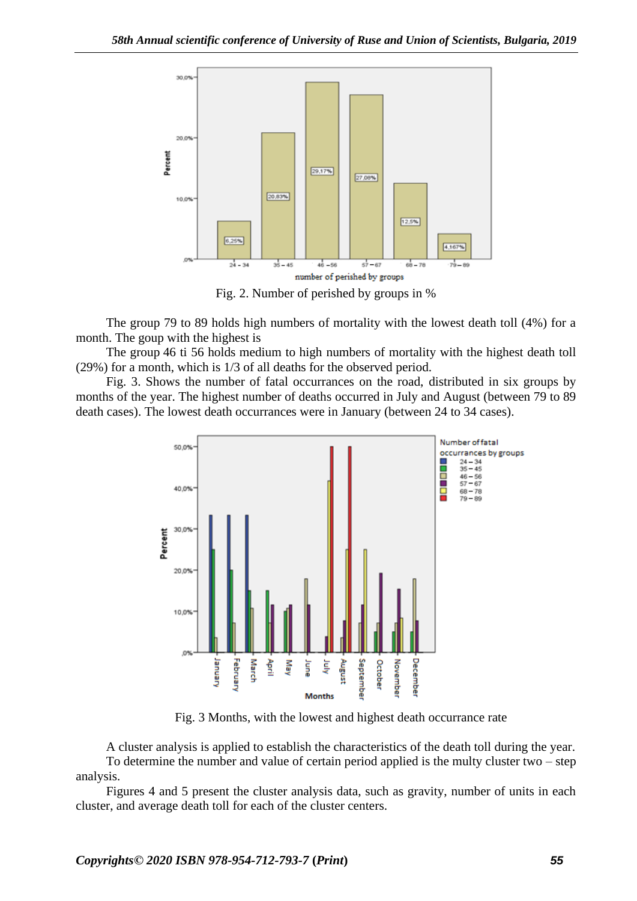

Fig. 2. Number of perished by groups in %

The group 79 to 89 holds high numbers of mortality with the lowest death toll (4%) for a month. The goup with the highest is

The group 46 ti 56 holds medium to high numbers of mortality with the highest death toll (29%) for a month, which is 1/3 of all deaths for the observed period.

Fig. 3. Shows the number of fatal occurrances on the road, distributed in six groups by months of the year. The highest number of deaths occurred in July and August (between 79 to 89 death cases). The lowest death occurrances were in January (between 24 to 34 cases).



Fig. 3 Months, with the lowest and highest death occurrance rate

A cluster analysis is applied to establish the characteristics of the death toll during the year. To determine the number and value of certain period applied is the multy cluster two – step analysis.

Figures 4 and 5 present the cluster analysis data, such as gravity, number of units in each cluster, and average death toll for each of the cluster centers.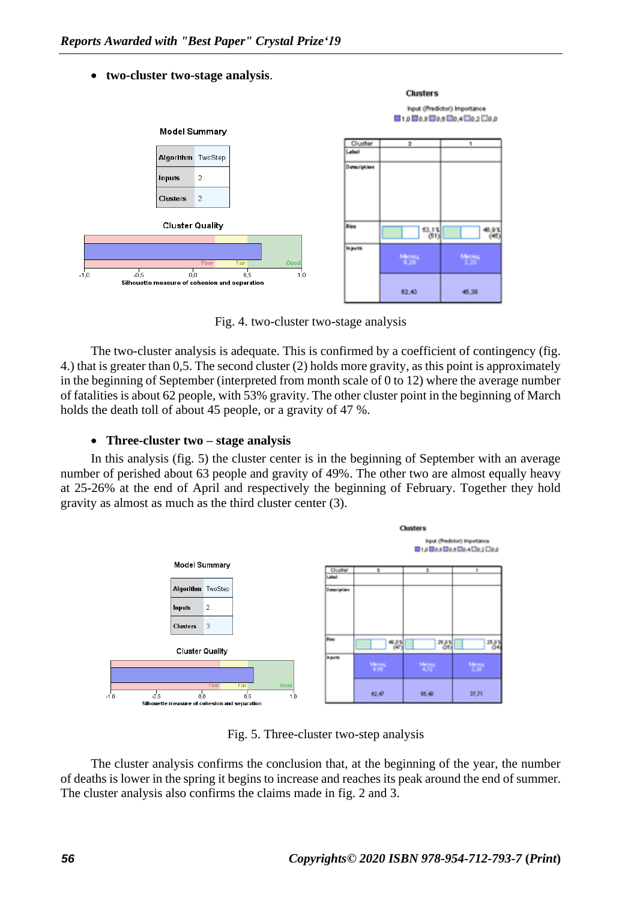#### • **two-cluster two-stage analysis**.



Fig. 4. two-cluster two-stage analysis

The two-cluster analysis is adequate. This is confirmed by a coefficient of contingency (fig. 4.) that is greater than 0,5. The second cluster (2) holds more gravity, as this point is approximately in the beginning of September (interpreted from month scale of 0 to 12) where the average number of fatalities is about 62 people, with 53% gravity. The other cluster point in the beginning of March holds the death toll of about 45 people, or a gravity of 47 %.

#### • **Three-cluster two – stage analysis**

In this analysis (fig. 5) the cluster center is in the beginning of September with an average number of perished about 63 people and gravity of 49%. The other two are almost equally heavy at 25-26% at the end of April and respectively the beginning of February. Together they hold gravity as almost as much as the third cluster center (3).



Fig. 5. Three-cluster two-step analysis

The cluster analysis confirms the conclusion that, at the beginning of the year, the number of deaths is lower in the spring it begins to increase and reaches its peak around the end of summer. The cluster analysis also confirms the claims made in fig. 2 and 3.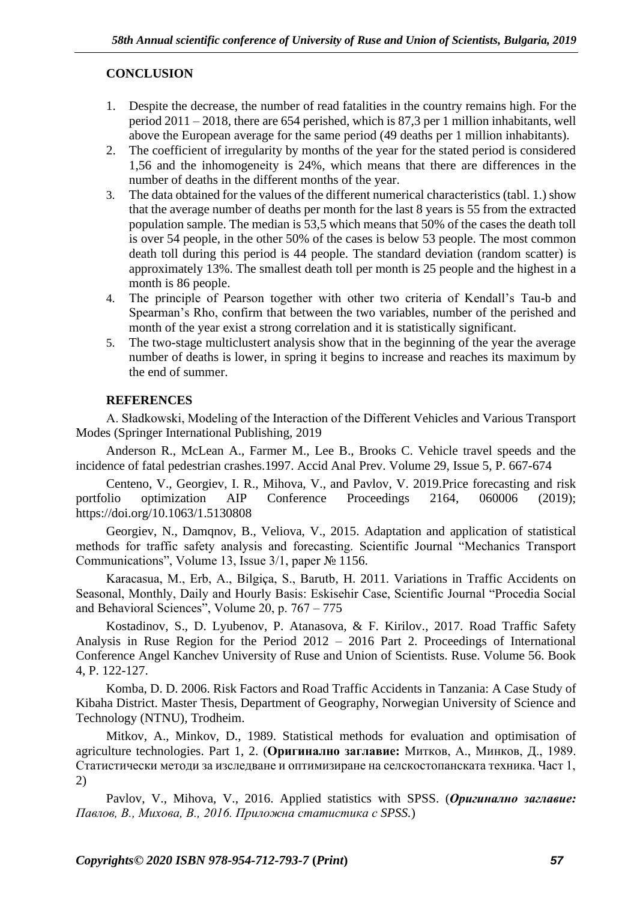# **CONCLUSION**

- 1. Despite the decrease, the number of read fatalities in the country remains high. For the period 2011 – 2018, there are 654 perished, which is 87,3 per 1 million inhabitants, well above the European average for the same period (49 deaths per 1 million inhabitants).
- 2. The coefficient of irregularity by months of the year for the stated period is considered 1,56 and the inhomogenеity is 24%, which means that there are differences in the number of deaths in the different months of the year.
- 3. The data obtained for the values of the different numerical characteristics (tabl. 1.) show that the average number of deaths per month for the last 8 years is 55 from the extracted population sample. The median is 53,5 which means that 50% of the cases the death toll is over 54 people, in the other 50% of the cases is below 53 people. The most common death toll during this period is 44 people. The standard deviation (random scatter) is approximately 13%. The smallest death toll per month is 25 people and the highest in a month is 86 people.
- 4. The principle of Pearson together with other two criteria of Kendall's Tau-b and Spearman's Rho, confirm that between the two variables, number of the perished and month of the year exist a strong correlation and it is statistically significant.
- 5. The two-stage multiclustert analysis show that in the beginning of the year the average number of deaths is lower, in spring it begins to increase and reaches its maximum by the end of summer.

# **REFERENCES**

A. Sładkowski, Modeling of the Interaction of the Different Vehicles and Various Transport Modes (Springer International Publishing, 2019

Anderson R., McLean A., Farmer M., Lee B., Brooks C. Vehicle travel speeds and the incidence of fatal pedestrian crashes.1997. Accid Anal Prev. Volume 29, Issue 5, P. 667-674

Centeno, V., Georgiev, I. R., Mihova, V., and Pavlov, V. 2019.Price forecasting and risk portfolio optimization AIP Conference Proceedings 2164, 060006 (2019); https://doi.org/10.1063/1.5130808

Georgiev, N., Damqnov, B., Veliova, V., 2015. Adaptation and application of statistical methods for traffic safety analysis and forecasting. Scientific Journal "Mechanics Transport Communications", Volume 13, Issue 3/1, paper № 1156.

Karacasua, M., Erb, A., Bilgiça, S., Barutb, H. 2011. Variations in Traffic Accidents on Seasonal, Monthly, Daily and Hourly Basis: Eskisehir Case, Scientific Journal "Procedia Social and Behavioral Sciences", Volume 20, p. 767 – 775

Kostadinov, S., D. Lyubenov, P. Atanasova, & F. Kirilov., 2017. Road Traffic Safety Analysis in Ruse Region for the Period 2012 – 2016 Part 2. Proceedings of International Conference Angel Kanchev University of Ruse and Union of Scientists. Ruse. Volume 56. Book 4, P. 122-127.

Komba, D. D. 2006. Risk Factors and Road Traffic Accidents in Tanzania: A Case Study of Kibaha District. Master Thesis, Department of Geography, Norwegian University of Science and Technology (NTNU), Trodheim.

Mitkov, A., Minkov, D., 1989. Statistical methods for evaluation and optimisation of agriculture technologies. Part 1, 2. (**Оригинално заглавие:** Митков, А., Минков, Д., 1989. Статистически методи за изследване и оптимизиране на селскостопанската техника. Част 1, 2)

Pavlov, V., Mihova, V., 2016. Applied statistics with SPSS. (*Оригинално заглавие: Павлов, В., Михова, В., 2016. Приложна статистика с SPSS.*)